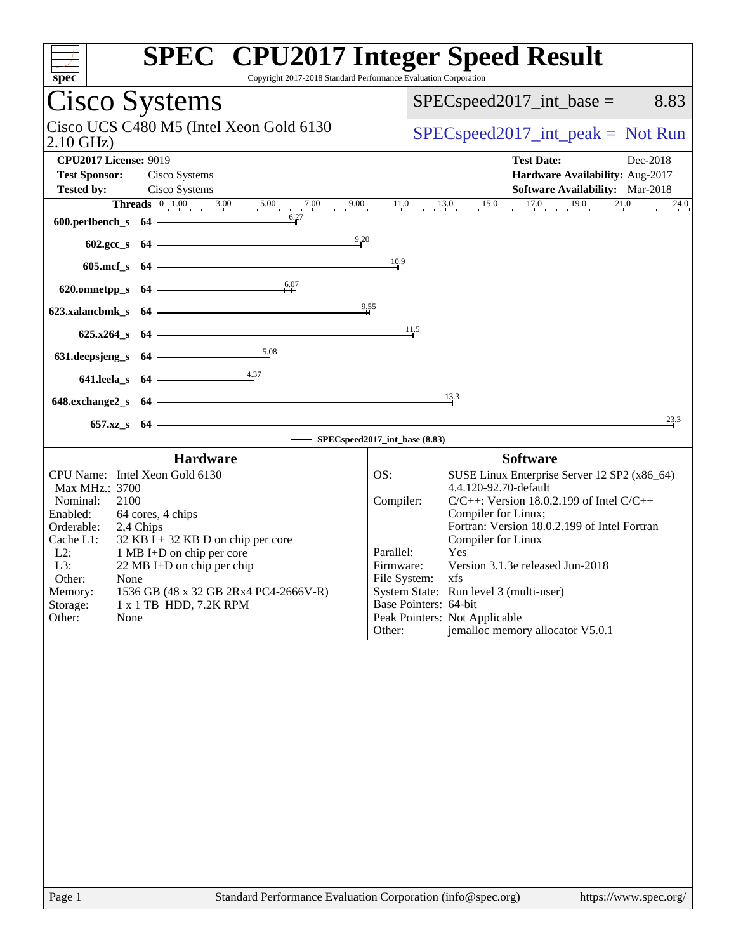| spec<br>Copyright 2017-2018 Standard Performance Evaluation Corporation                                                                                                                                                                                                                                                                                                                                            | <b>SPEC<sup>®</sup></b> CPU2017 Integer Speed Result                                                                                                                                                                                                                                                                                                                                                                                                                                                  |
|--------------------------------------------------------------------------------------------------------------------------------------------------------------------------------------------------------------------------------------------------------------------------------------------------------------------------------------------------------------------------------------------------------------------|-------------------------------------------------------------------------------------------------------------------------------------------------------------------------------------------------------------------------------------------------------------------------------------------------------------------------------------------------------------------------------------------------------------------------------------------------------------------------------------------------------|
| Cisco Systems                                                                                                                                                                                                                                                                                                                                                                                                      | $SPEC speed2017\_int\_base =$<br>8.83                                                                                                                                                                                                                                                                                                                                                                                                                                                                 |
| Cisco UCS C480 M5 (Intel Xeon Gold 6130<br>$2.10$ GHz)                                                                                                                                                                                                                                                                                                                                                             | $SPEC speed2017\_int\_peak = Not Run$                                                                                                                                                                                                                                                                                                                                                                                                                                                                 |
| <b>CPU2017 License: 9019</b>                                                                                                                                                                                                                                                                                                                                                                                       | <b>Test Date:</b><br>Dec-2018                                                                                                                                                                                                                                                                                                                                                                                                                                                                         |
| <b>Test Sponsor:</b><br>Cisco Systems                                                                                                                                                                                                                                                                                                                                                                              | Hardware Availability: Aug-2017                                                                                                                                                                                                                                                                                                                                                                                                                                                                       |
| Cisco Systems<br><b>Tested by:</b>                                                                                                                                                                                                                                                                                                                                                                                 | <b>Software Availability:</b> Mar-2018                                                                                                                                                                                                                                                                                                                                                                                                                                                                |
| <b>Threads</b> $\begin{array}{ccc} 0 & 1.00 & 3.00 & 5.00 \\ 1 & 0 & 1.00 & 0.00 \\ 0 & 0 & 0 & 0.00 \\ 0 & 0 & 0 & 0.00 \\ 0 & 0 & 0 & 0.00 \\ 0 & 0 & 0 & 0.00 \\ 0 & 0 & 0 & 0.00 \\ 0 & 0 & 0 & 0.00 \\ 0 & 0 & 0 & 0.00 \\ 0 & 0 & 0 & 0 & 0.0 \\ 0 & 0 & 0 & 0 & 0.0 \\ 0 & 0 & 0 & 0 & 0.00 \\ 0 & 0 & $<br>7.00<br>9.00<br>600.perlbench_s<br>- 64                                                         | $11.0$ $13.0$ $15.0$ $17.0$ $19.0$ $21.0$<br>24.0                                                                                                                                                                                                                                                                                                                                                                                                                                                     |
| 9,20<br>602.gcc_s<br>-64                                                                                                                                                                                                                                                                                                                                                                                           |                                                                                                                                                                                                                                                                                                                                                                                                                                                                                                       |
| $605$ .mcf_s<br>-64                                                                                                                                                                                                                                                                                                                                                                                                | 10.9                                                                                                                                                                                                                                                                                                                                                                                                                                                                                                  |
| 6.07<br>620.omnetpp_s<br>-64                                                                                                                                                                                                                                                                                                                                                                                       |                                                                                                                                                                                                                                                                                                                                                                                                                                                                                                       |
| $\frac{9,55}{4}$<br>623.xalancbmk_s<br>-64                                                                                                                                                                                                                                                                                                                                                                         |                                                                                                                                                                                                                                                                                                                                                                                                                                                                                                       |
| $625.x264_s$<br>- 64                                                                                                                                                                                                                                                                                                                                                                                               | 11.5                                                                                                                                                                                                                                                                                                                                                                                                                                                                                                  |
| 5.08<br>631.deepsjeng_s<br>-64                                                                                                                                                                                                                                                                                                                                                                                     |                                                                                                                                                                                                                                                                                                                                                                                                                                                                                                       |
| 4.37<br>641.leela_s<br>- 64                                                                                                                                                                                                                                                                                                                                                                                        |                                                                                                                                                                                                                                                                                                                                                                                                                                                                                                       |
| 648.exchange2_s<br>- 64                                                                                                                                                                                                                                                                                                                                                                                            | 13.3                                                                                                                                                                                                                                                                                                                                                                                                                                                                                                  |
| $657.xz$ <sub>S</sub><br>-64                                                                                                                                                                                                                                                                                                                                                                                       | 23.3                                                                                                                                                                                                                                                                                                                                                                                                                                                                                                  |
|                                                                                                                                                                                                                                                                                                                                                                                                                    | SPECspeed2017_int_base (8.83)                                                                                                                                                                                                                                                                                                                                                                                                                                                                         |
| <b>Hardware</b><br>CPU Name: Intel Xeon Gold 6130<br>Max MHz.: 3700<br>Nominal:<br>2100<br>Enabled:<br>64 cores, 4 chips<br>Orderable:<br>2,4 Chips<br>Cache L1:<br>$32$ KB I + 32 KB D on chip per core<br>$L2$ :<br>1 MB I+D on chip per core<br>L3:<br>22 MB I+D on chip per chip<br>Other:<br>None<br>1536 GB (48 x 32 GB 2Rx4 PC4-2666V-R)<br>Memory:<br>Storage:<br>1 x 1 TB HDD, 7.2K RPM<br>Other:<br>None | <b>Software</b><br>SUSE Linux Enterprise Server 12 SP2 (x86_64)<br>OS:<br>4.4.120-92.70-default<br>$C/C++$ : Version 18.0.2.199 of Intel $C/C++$<br>Compiler:<br>Compiler for Linux;<br>Fortran: Version 18.0.2.199 of Intel Fortran<br>Compiler for Linux<br>Parallel:<br>Yes<br>Version 3.1.3e released Jun-2018<br>Firmware:<br>File System: xfs<br>System State: Run level 3 (multi-user)<br>Base Pointers: 64-bit<br>Peak Pointers: Not Applicable<br>jemalloc memory allocator V5.0.1<br>Other: |
| Page 1<br>Standard Performance Evaluation Corporation (info@spec.org)                                                                                                                                                                                                                                                                                                                                              | https://www.spec.org/                                                                                                                                                                                                                                                                                                                                                                                                                                                                                 |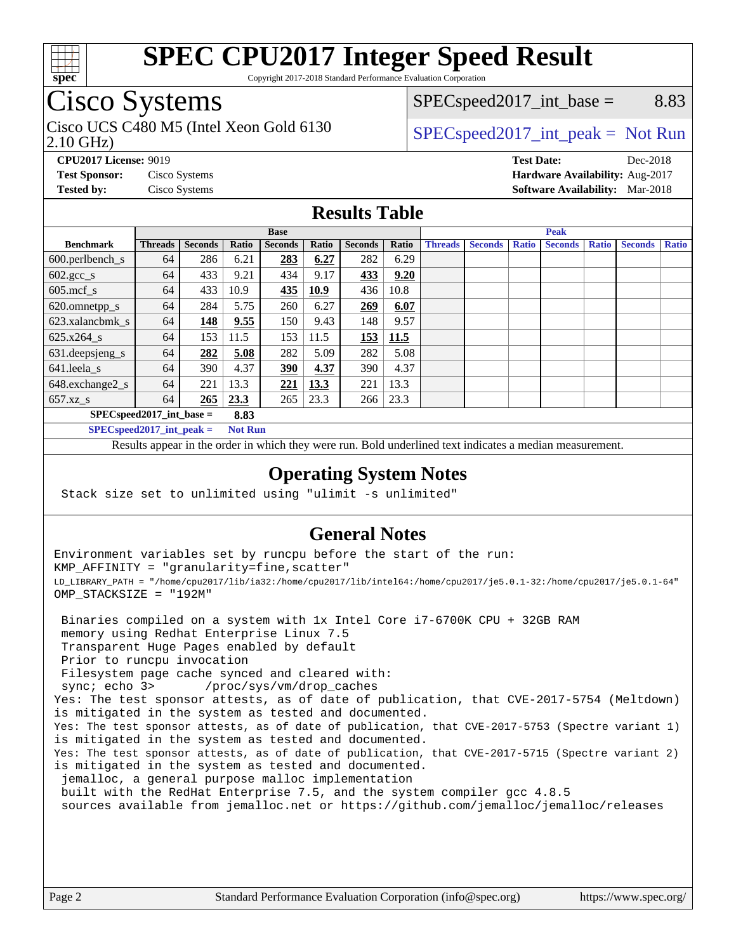

Copyright 2017-2018 Standard Performance Evaluation Corporation

# Cisco Systems

2.10 GHz) Cisco UCS C480 M5 (Intel Xeon Gold 6130  $SPECspeed2017\_int\_peak = Not Run$ 

 $SPEC speed2017\_int\_base =$  8.83

**[CPU2017 License:](http://www.spec.org/auto/cpu2017/Docs/result-fields.html#CPU2017License)** 9019 **[Test Date:](http://www.spec.org/auto/cpu2017/Docs/result-fields.html#TestDate)** Dec-2018

**[Test Sponsor:](http://www.spec.org/auto/cpu2017/Docs/result-fields.html#TestSponsor)** Cisco Systems **[Hardware Availability:](http://www.spec.org/auto/cpu2017/Docs/result-fields.html#HardwareAvailability)** Aug-2017 **[Tested by:](http://www.spec.org/auto/cpu2017/Docs/result-fields.html#Testedby)** Cisco Systems **[Software Availability:](http://www.spec.org/auto/cpu2017/Docs/result-fields.html#SoftwareAvailability)** Mar-2018

#### **[Results Table](http://www.spec.org/auto/cpu2017/Docs/result-fields.html#ResultsTable)**

|                            | <b>Base</b>    |                |                |            |                |                                |      | <b>Peak</b> |              |                |              |  |  |  |  |  |
|----------------------------|----------------|----------------|----------------|------------|----------------|--------------------------------|------|-------------|--------------|----------------|--------------|--|--|--|--|--|
| <b>Benchmark</b>           | <b>Threads</b> | <b>Seconds</b> | <b>Seconds</b> | Ratio      | <b>Threads</b> | <b>Seconds</b><br><b>Ratio</b> |      |             | <b>Ratio</b> | <b>Seconds</b> | <b>Ratio</b> |  |  |  |  |  |
| $600.$ perlbench_s         | 64             | 286            | 6.21           | 283        | 6.27           | 282                            | 6.29 |             |              |                |              |  |  |  |  |  |
| $602.\text{gcc}\_\text{s}$ | 64             | 433            | 9.21           | 434        | 9.17           | 433                            | 9.20 |             |              |                |              |  |  |  |  |  |
| $605$ .mcf s               | 64             | 433            | 10.9           | 435        | 10.9           | 436                            | 10.8 |             |              |                |              |  |  |  |  |  |
| 620.omnetpp_s              | 64             | 284            | 5.75           | 260        | 6.27           | 269                            | 6.07 |             |              |                |              |  |  |  |  |  |
| 623.xalancbmk s            | 64             | 148            | 9.55           | 150        | 9.43           | 148                            | 9.57 |             |              |                |              |  |  |  |  |  |
| 625.x264 s                 | 64             | 153            | 11.5           | 153        | 11.5           | 153                            | 11.5 |             |              |                |              |  |  |  |  |  |
| 631.deepsjeng_s            | 64             | 282            | 5.08           | 282        | 5.09           | 282                            | 5.08 |             |              |                |              |  |  |  |  |  |
| $641.$ leela_s             | 64             | 390            | 4.37           | <u>390</u> | 4.37           | 390                            | 4.37 |             |              |                |              |  |  |  |  |  |
| 648.exchange2_s            | 64             | 221            | 13.3           | <u>221</u> | 13.3           | 221                            | 13.3 |             |              |                |              |  |  |  |  |  |
| $657.xz$ s                 | 64             | 265            | 23.3           | 265        | 23.3           | 266                            | 23.3 |             |              |                |              |  |  |  |  |  |
| $SPECspeed2017$ int base = |                |                | 8.83           |            |                |                                |      |             |              |                |              |  |  |  |  |  |

**[SPECspeed2017\\_int\\_peak =](http://www.spec.org/auto/cpu2017/Docs/result-fields.html#SPECspeed2017intpeak) Not Run**

Results appear in the [order in which they were run.](http://www.spec.org/auto/cpu2017/Docs/result-fields.html#RunOrder) Bold underlined text [indicates a median measurement.](http://www.spec.org/auto/cpu2017/Docs/result-fields.html#Median)

#### **[Operating System Notes](http://www.spec.org/auto/cpu2017/Docs/result-fields.html#OperatingSystemNotes)**

Stack size set to unlimited using "ulimit -s unlimited"

### **[General Notes](http://www.spec.org/auto/cpu2017/Docs/result-fields.html#GeneralNotes)**

Environment variables set by runcpu before the start of the run: KMP\_AFFINITY = "granularity=fine,scatter" LD\_LIBRARY\_PATH = "/home/cpu2017/lib/ia32:/home/cpu2017/lib/intel64:/home/cpu2017/je5.0.1-32:/home/cpu2017/je5.0.1-64" OMP\_STACKSIZE = "192M"

 Binaries compiled on a system with 1x Intel Core i7-6700K CPU + 32GB RAM memory using Redhat Enterprise Linux 7.5 Transparent Huge Pages enabled by default Prior to runcpu invocation Filesystem page cache synced and cleared with: sync; echo 3> /proc/sys/vm/drop\_caches Yes: The test sponsor attests, as of date of publication, that CVE-2017-5754 (Meltdown) is mitigated in the system as tested and documented. Yes: The test sponsor attests, as of date of publication, that CVE-2017-5753 (Spectre variant 1) is mitigated in the system as tested and documented. Yes: The test sponsor attests, as of date of publication, that CVE-2017-5715 (Spectre variant 2) is mitigated in the system as tested and documented. jemalloc, a general purpose malloc implementation built with the RedHat Enterprise 7.5, and the system compiler gcc 4.8.5 sources available from jemalloc.net or <https://github.com/jemalloc/jemalloc/releases>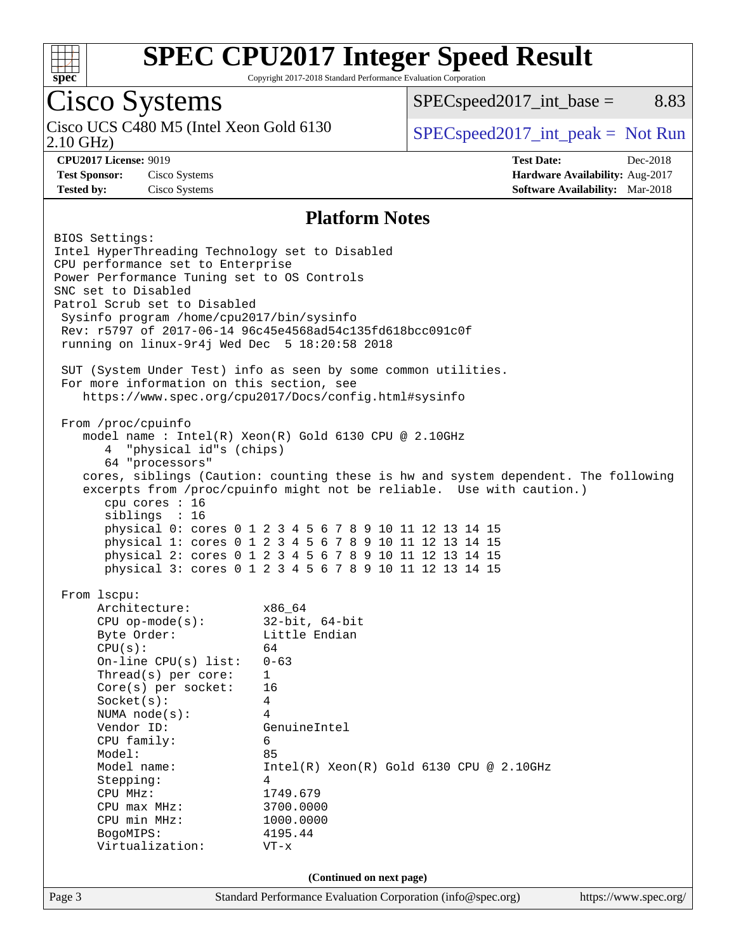

Copyright 2017-2018 Standard Performance Evaluation Corporation

## Cisco Systems

2.10 GHz) Cisco UCS C480 M5 (Intel Xeon Gold 6130  $SPEC speed2017\_int\_peak = Not Run$ 

 $SPEC speed2017\_int\_base =$  8.83

**[Test Sponsor:](http://www.spec.org/auto/cpu2017/Docs/result-fields.html#TestSponsor)** Cisco Systems **[Hardware Availability:](http://www.spec.org/auto/cpu2017/Docs/result-fields.html#HardwareAvailability)** Aug-2017 **[Tested by:](http://www.spec.org/auto/cpu2017/Docs/result-fields.html#Testedby)** Cisco Systems **[Software Availability:](http://www.spec.org/auto/cpu2017/Docs/result-fields.html#SoftwareAvailability)** Mar-2018

**[CPU2017 License:](http://www.spec.org/auto/cpu2017/Docs/result-fields.html#CPU2017License)** 9019 **[Test Date:](http://www.spec.org/auto/cpu2017/Docs/result-fields.html#TestDate)** Dec-2018

#### **[Platform Notes](http://www.spec.org/auto/cpu2017/Docs/result-fields.html#PlatformNotes)**

Page 3 Standard Performance Evaluation Corporation [\(info@spec.org\)](mailto:info@spec.org) <https://www.spec.org/> BIOS Settings: Intel HyperThreading Technology set to Disabled CPU performance set to Enterprise Power Performance Tuning set to OS Controls SNC set to Disabled Patrol Scrub set to Disabled Sysinfo program /home/cpu2017/bin/sysinfo Rev: r5797 of 2017-06-14 96c45e4568ad54c135fd618bcc091c0f running on linux-9r4j Wed Dec 5 18:20:58 2018 SUT (System Under Test) info as seen by some common utilities. For more information on this section, see <https://www.spec.org/cpu2017/Docs/config.html#sysinfo> From /proc/cpuinfo model name : Intel(R) Xeon(R) Gold 6130 CPU @ 2.10GHz 4 "physical id"s (chips) 64 "processors" cores, siblings (Caution: counting these is hw and system dependent. The following excerpts from /proc/cpuinfo might not be reliable. Use with caution.) cpu cores : 16 siblings : 16 physical 0: cores 0 1 2 3 4 5 6 7 8 9 10 11 12 13 14 15 physical 1: cores 0 1 2 3 4 5 6 7 8 9 10 11 12 13 14 15 physical 2: cores 0 1 2 3 4 5 6 7 8 9 10 11 12 13 14 15 physical 3: cores 0 1 2 3 4 5 6 7 8 9 10 11 12 13 14 15 From lscpu: Architecture: x86\_64 CPU op-mode(s): 32-bit, 64-bit Byte Order: Little Endian  $CPU(s):$  64 On-line CPU(s) list: 0-63 Thread(s) per core: 1 Core(s) per socket: 16 Socket(s): 4 NUMA node(s): 4 Vendor ID: GenuineIntel CPU family: 6 Model: 85 Model name: Intel(R) Xeon(R) Gold 6130 CPU @ 2.10GHz Stepping: 4 CPU MHz: 1749.679 CPU max MHz: 3700.0000 CPU min MHz: 1000.0000 BogoMIPS: 4195.44 Virtualization: VT-x **(Continued on next page)**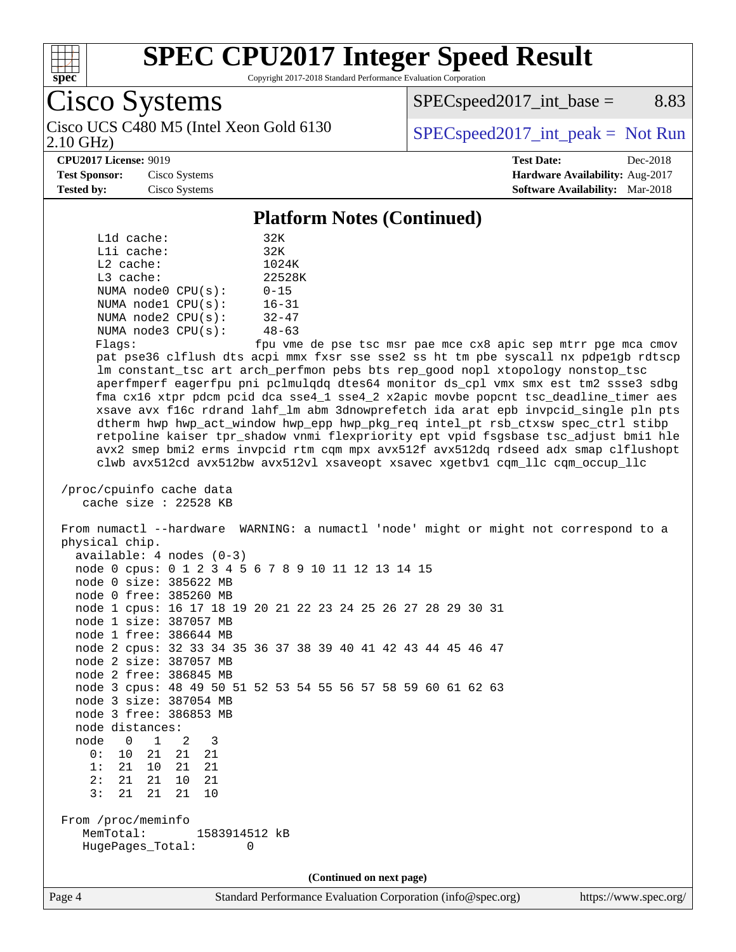

Copyright 2017-2018 Standard Performance Evaluation Corporation

| <b>Cisco Systems</b>                      |
|-------------------------------------------|
| $C'$ IICO C <sub>100</sub> ME $(T + 1)$ V |

Cisco UCS C480 M5 (Intel Xeon Gold 6130  $\vert$  [SPECspeed2017\\_int\\_peak =](http://www.spec.org/auto/cpu2017/Docs/result-fields.html#SPECspeed2017intpeak) Not Run

 $SPEC speed2017\_int\_base =$  8.83

2.10 GHz)

#### **[CPU2017 License:](http://www.spec.org/auto/cpu2017/Docs/result-fields.html#CPU2017License)** 9019 **[Test Date:](http://www.spec.org/auto/cpu2017/Docs/result-fields.html#TestDate)** Dec-2018

**[Test Sponsor:](http://www.spec.org/auto/cpu2017/Docs/result-fields.html#TestSponsor)** Cisco Systems **[Hardware Availability:](http://www.spec.org/auto/cpu2017/Docs/result-fields.html#HardwareAvailability)** Aug-2017 **[Tested by:](http://www.spec.org/auto/cpu2017/Docs/result-fields.html#Testedby)** Cisco Systems **[Software Availability:](http://www.spec.org/auto/cpu2017/Docs/result-fields.html#SoftwareAvailability)** Mar-2018

#### **[Platform Notes \(Continued\)](http://www.spec.org/auto/cpu2017/Docs/result-fields.html#PlatformNotes)**

| L1d cache:              | 32K       |  |  |  |  |  |
|-------------------------|-----------|--|--|--|--|--|
| $L1i$ cache:            | 32K       |  |  |  |  |  |
| $L2$ cache:             | 1024K     |  |  |  |  |  |
| $L3$ cache:             | 22528K    |  |  |  |  |  |
| NUMA $node0$ $CPU(s)$ : | $0 - 15$  |  |  |  |  |  |
| NUMA nodel CPU(s):      | $16 - 31$ |  |  |  |  |  |
| NUMA $node2$ $CPU(s)$ : | $32 - 47$ |  |  |  |  |  |
| NUMA node3 CPU(s):      | $48 - 63$ |  |  |  |  |  |
|                         |           |  |  |  |  |  |

Flags: fpu vme de pse tsc msr pae mce cx8 apic sep mtrr pge mca cmov pat pse36 clflush dts acpi mmx fxsr sse sse2 ss ht tm pbe syscall nx pdpe1gb rdtscp lm constant\_tsc art arch\_perfmon pebs bts rep\_good nopl xtopology nonstop\_tsc aperfmperf eagerfpu pni pclmulqdq dtes64 monitor ds\_cpl vmx smx est tm2 ssse3 sdbg fma cx16 xtpr pdcm pcid dca sse4\_1 sse4\_2 x2apic movbe popcnt tsc\_deadline\_timer aes xsave avx f16c rdrand lahf\_lm abm 3dnowprefetch ida arat epb invpcid\_single pln pts dtherm hwp hwp\_act\_window hwp\_epp hwp\_pkg\_req intel\_pt rsb\_ctxsw spec\_ctrl stibp retpoline kaiser tpr\_shadow vnmi flexpriority ept vpid fsgsbase tsc\_adjust bmi1 hle avx2 smep bmi2 erms invpcid rtm cqm mpx avx512f avx512dq rdseed adx smap clflushopt clwb avx512cd avx512bw avx512vl xsaveopt xsavec xgetbv1 cqm\_llc cqm\_occup\_llc

```
 /proc/cpuinfo cache data
cache size : 22528 KB
```
 From numactl --hardware WARNING: a numactl 'node' might or might not correspond to a physical chip. available: 4 nodes (0-3)

|                    |  |  |    |        | node 0 cpus: 0 1 2 3 4 5 6 7 8 9 10 11 12 13 14 15           |  |   |  |  |  |  |  |  |  |  |  |  |  |
|--------------------|--|--|----|--------|--------------------------------------------------------------|--|---|--|--|--|--|--|--|--|--|--|--|--|
|                    |  |  |    |        | node 0 size: 385622 MB                                       |  |   |  |  |  |  |  |  |  |  |  |  |  |
|                    |  |  |    |        | node 0 free: 385260 MB                                       |  |   |  |  |  |  |  |  |  |  |  |  |  |
|                    |  |  |    |        | node 1 cpus: 16 17 18 19 20 21 22 23 24 25 26 27 28 29 30 31 |  |   |  |  |  |  |  |  |  |  |  |  |  |
|                    |  |  |    |        | node 1 size: 387057 MB                                       |  |   |  |  |  |  |  |  |  |  |  |  |  |
|                    |  |  |    |        | node 1 free: 386644 MB                                       |  |   |  |  |  |  |  |  |  |  |  |  |  |
|                    |  |  |    |        | node 2 cpus: 32 33 34 35 36 37 38 39 40 41 42 43 44 45 46 47 |  |   |  |  |  |  |  |  |  |  |  |  |  |
|                    |  |  |    |        | node 2 size: 387057 MB                                       |  |   |  |  |  |  |  |  |  |  |  |  |  |
|                    |  |  |    |        | node 2 free: 386845 MB                                       |  |   |  |  |  |  |  |  |  |  |  |  |  |
|                    |  |  |    |        | node 3 cpus: 48 49 50 51 52 53 54 55 56 57 58 59 60 61 62 63 |  |   |  |  |  |  |  |  |  |  |  |  |  |
|                    |  |  |    |        | node 3 size: 387054 MB                                       |  |   |  |  |  |  |  |  |  |  |  |  |  |
|                    |  |  |    |        | node 3 free: 386853 MB                                       |  |   |  |  |  |  |  |  |  |  |  |  |  |
| node distances:    |  |  |    |        |                                                              |  |   |  |  |  |  |  |  |  |  |  |  |  |
| node 0 1 2         |  |  |    |        | 3                                                            |  |   |  |  |  |  |  |  |  |  |  |  |  |
|                    |  |  |    |        | 0: 10 21 21 21                                               |  |   |  |  |  |  |  |  |  |  |  |  |  |
| 1: 21              |  |  | 10 |        | 21 21                                                        |  |   |  |  |  |  |  |  |  |  |  |  |  |
| 2:21               |  |  | 21 |        | 10 21                                                        |  |   |  |  |  |  |  |  |  |  |  |  |  |
|                    |  |  |    | 3:2121 | 10                                                           |  |   |  |  |  |  |  |  |  |  |  |  |  |
|                    |  |  |    |        |                                                              |  |   |  |  |  |  |  |  |  |  |  |  |  |
| From /proc/meminfo |  |  |    |        |                                                              |  |   |  |  |  |  |  |  |  |  |  |  |  |
|                    |  |  |    |        | MemTotal: 1583914512 kB                                      |  |   |  |  |  |  |  |  |  |  |  |  |  |
|                    |  |  |    |        | HugePages_Total:                                             |  | 0 |  |  |  |  |  |  |  |  |  |  |  |
|                    |  |  |    |        |                                                              |  |   |  |  |  |  |  |  |  |  |  |  |  |

**(Continued on next page)**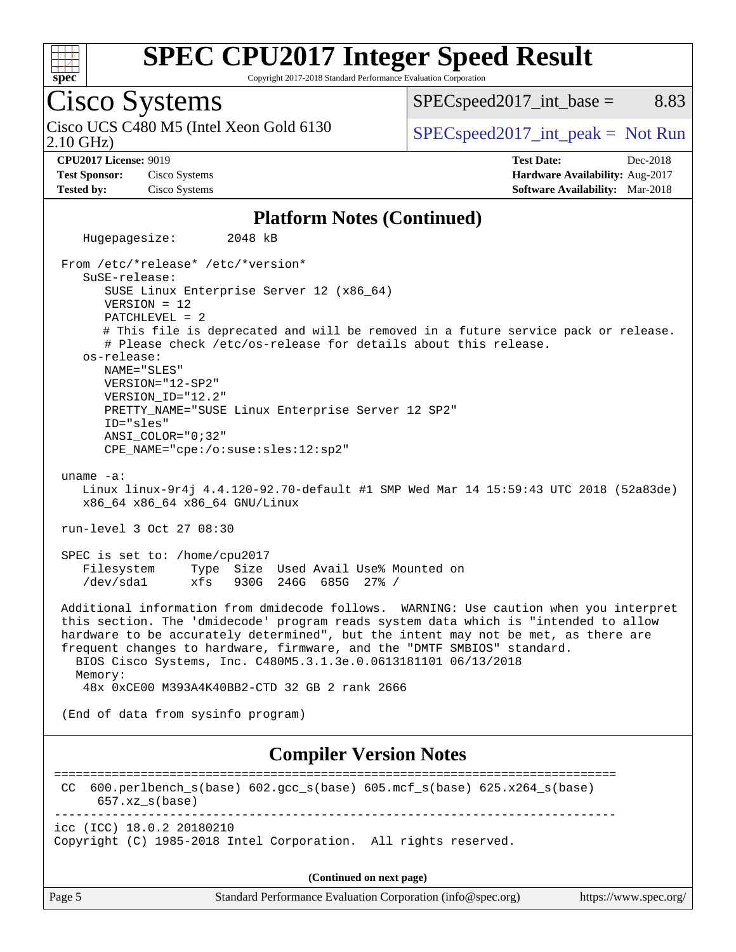

Copyright 2017-2018 Standard Performance Evaluation Corporation

### Cisco Systems 2.10 GHz) Cisco UCS C480 M5 (Intel Xeon Gold 6130  $SPECspeed2017\_int\_peak = Not Run$

 $SPEC speed2017\_int\_base =$  8.83

**[Test Sponsor:](http://www.spec.org/auto/cpu2017/Docs/result-fields.html#TestSponsor)** Cisco Systems **[Hardware Availability:](http://www.spec.org/auto/cpu2017/Docs/result-fields.html#HardwareAvailability)** Aug-2017 **[Tested by:](http://www.spec.org/auto/cpu2017/Docs/result-fields.html#Testedby)** Cisco Systems **[Software Availability:](http://www.spec.org/auto/cpu2017/Docs/result-fields.html#SoftwareAvailability)** Mar-2018

**[CPU2017 License:](http://www.spec.org/auto/cpu2017/Docs/result-fields.html#CPU2017License)** 9019 **[Test Date:](http://www.spec.org/auto/cpu2017/Docs/result-fields.html#TestDate)** Dec-2018

#### **[Platform Notes \(Continued\)](http://www.spec.org/auto/cpu2017/Docs/result-fields.html#PlatformNotes)**

 Hugepagesize: 2048 kB From /etc/\*release\* /etc/\*version\* SuSE-release: SUSE Linux Enterprise Server 12 (x86\_64) VERSION = 12 PATCHLEVEL = 2 # This file is deprecated and will be removed in a future service pack or release. # Please check /etc/os-release for details about this release. os-release: NAME="SLES" VERSION="12-SP2" VERSION\_ID="12.2" PRETTY\_NAME="SUSE Linux Enterprise Server 12 SP2" ID="sles" ANSI\_COLOR="0;32" CPE\_NAME="cpe:/o:suse:sles:12:sp2" uname -a: Linux linux-9r4j 4.4.120-92.70-default #1 SMP Wed Mar 14 15:59:43 UTC 2018 (52a83de) x86\_64 x86\_64 x86\_64 GNU/Linux run-level 3 Oct 27 08:30 SPEC is set to: /home/cpu2017 Filesystem Type Size Used Avail Use% Mounted on /dev/sda1 xfs 930G 246G 685G 27% / Additional information from dmidecode follows. WARNING: Use caution when you interpret this section. The 'dmidecode' program reads system data which is "intended to allow hardware to be accurately determined", but the intent may not be met, as there are frequent changes to hardware, firmware, and the "DMTF SMBIOS" standard. BIOS Cisco Systems, Inc. C480M5.3.1.3e.0.0613181101 06/13/2018 Memory: 48x 0xCE00 M393A4K40BB2-CTD 32 GB 2 rank 2666 (End of data from sysinfo program) **[Compiler Version Notes](http://www.spec.org/auto/cpu2017/Docs/result-fields.html#CompilerVersionNotes)** ============================================================================== CC 600.perlbench\_s(base) 602.gcc\_s(base) 605.mcf\_s(base) 625.x264\_s(base) 657.xz\_s(base) ----------------------------------------------------------------------------- icc (ICC) 18.0.2 20180210 Copyright (C) 1985-2018 Intel Corporation. All rights reserved. **(Continued on next page)**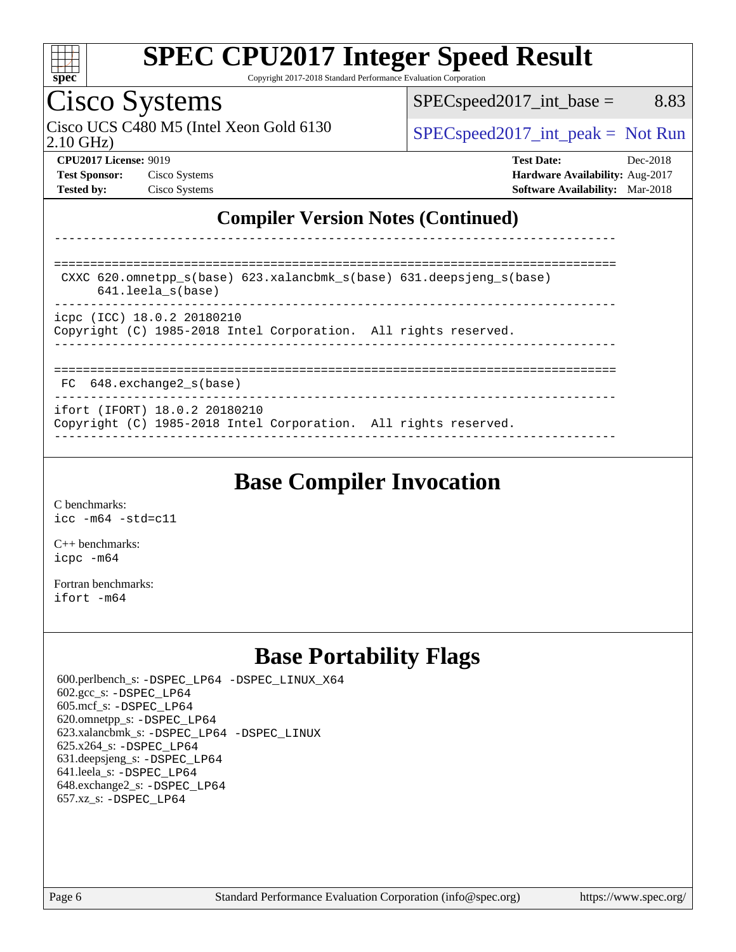

Copyright 2017-2018 Standard Performance Evaluation Corporation

## Cisco Systems

2.10 GHz) Cisco UCS C480 M5 (Intel Xeon Gold 6130  $SPECspeed2017\_int\_peak = Not Run$ 

 $SPEC speed2017\_int\_base =$  8.83

**[CPU2017 License:](http://www.spec.org/auto/cpu2017/Docs/result-fields.html#CPU2017License)** 9019 **[Test Date:](http://www.spec.org/auto/cpu2017/Docs/result-fields.html#TestDate)** Dec-2018 **[Test Sponsor:](http://www.spec.org/auto/cpu2017/Docs/result-fields.html#TestSponsor)** Cisco Systems **[Hardware Availability:](http://www.spec.org/auto/cpu2017/Docs/result-fields.html#HardwareAvailability)** Aug-2017 **[Tested by:](http://www.spec.org/auto/cpu2017/Docs/result-fields.html#Testedby)** Cisco Systems **[Software Availability:](http://www.spec.org/auto/cpu2017/Docs/result-fields.html#SoftwareAvailability)** Mar-2018

### **[Compiler Version Notes \(Continued\)](http://www.spec.org/auto/cpu2017/Docs/result-fields.html#CompilerVersionNotes)**

============================================================================== CXXC 620.omnetpp\_s(base) 623.xalancbmk\_s(base) 631.deepsjeng\_s(base) 641.leela\_s(base) ----------------------------------------------------------------------------- icpc (ICC) 18.0.2 20180210 Copyright (C) 1985-2018 Intel Corporation. All rights reserved. ------------------------------------------------------------------------------ ============================================================================== FC 648.exchange2 s(base) ----------------------------------------------------------------------------- ifort (IFORT) 18.0.2 20180210 Copyright (C) 1985-2018 Intel Corporation. All rights reserved.

------------------------------------------------------------------------------

------------------------------------------------------------------------------

## **[Base Compiler Invocation](http://www.spec.org/auto/cpu2017/Docs/result-fields.html#BaseCompilerInvocation)**

[C benchmarks](http://www.spec.org/auto/cpu2017/Docs/result-fields.html#Cbenchmarks): [icc -m64 -std=c11](http://www.spec.org/cpu2017/results/res2018q4/cpu2017-20181211-10290.flags.html#user_CCbase_intel_icc_64bit_c11_33ee0cdaae7deeeab2a9725423ba97205ce30f63b9926c2519791662299b76a0318f32ddfffdc46587804de3178b4f9328c46fa7c2b0cd779d7a61945c91cd35)

[C++ benchmarks:](http://www.spec.org/auto/cpu2017/Docs/result-fields.html#CXXbenchmarks) [icpc -m64](http://www.spec.org/cpu2017/results/res2018q4/cpu2017-20181211-10290.flags.html#user_CXXbase_intel_icpc_64bit_4ecb2543ae3f1412ef961e0650ca070fec7b7afdcd6ed48761b84423119d1bf6bdf5cad15b44d48e7256388bc77273b966e5eb805aefd121eb22e9299b2ec9d9)

[Fortran benchmarks](http://www.spec.org/auto/cpu2017/Docs/result-fields.html#Fortranbenchmarks): [ifort -m64](http://www.spec.org/cpu2017/results/res2018q4/cpu2017-20181211-10290.flags.html#user_FCbase_intel_ifort_64bit_24f2bb282fbaeffd6157abe4f878425411749daecae9a33200eee2bee2fe76f3b89351d69a8130dd5949958ce389cf37ff59a95e7a40d588e8d3a57e0c3fd751)

## **[Base Portability Flags](http://www.spec.org/auto/cpu2017/Docs/result-fields.html#BasePortabilityFlags)**

 600.perlbench\_s: [-DSPEC\\_LP64](http://www.spec.org/cpu2017/results/res2018q4/cpu2017-20181211-10290.flags.html#b600.perlbench_s_basePORTABILITY_DSPEC_LP64) [-DSPEC\\_LINUX\\_X64](http://www.spec.org/cpu2017/results/res2018q4/cpu2017-20181211-10290.flags.html#b600.perlbench_s_baseCPORTABILITY_DSPEC_LINUX_X64) 602.gcc\_s: [-DSPEC\\_LP64](http://www.spec.org/cpu2017/results/res2018q4/cpu2017-20181211-10290.flags.html#suite_basePORTABILITY602_gcc_s_DSPEC_LP64) 605.mcf\_s: [-DSPEC\\_LP64](http://www.spec.org/cpu2017/results/res2018q4/cpu2017-20181211-10290.flags.html#suite_basePORTABILITY605_mcf_s_DSPEC_LP64) 620.omnetpp\_s: [-DSPEC\\_LP64](http://www.spec.org/cpu2017/results/res2018q4/cpu2017-20181211-10290.flags.html#suite_basePORTABILITY620_omnetpp_s_DSPEC_LP64) 623.xalancbmk\_s: [-DSPEC\\_LP64](http://www.spec.org/cpu2017/results/res2018q4/cpu2017-20181211-10290.flags.html#suite_basePORTABILITY623_xalancbmk_s_DSPEC_LP64) [-DSPEC\\_LINUX](http://www.spec.org/cpu2017/results/res2018q4/cpu2017-20181211-10290.flags.html#b623.xalancbmk_s_baseCXXPORTABILITY_DSPEC_LINUX) 625.x264\_s: [-DSPEC\\_LP64](http://www.spec.org/cpu2017/results/res2018q4/cpu2017-20181211-10290.flags.html#suite_basePORTABILITY625_x264_s_DSPEC_LP64) 631.deepsjeng\_s: [-DSPEC\\_LP64](http://www.spec.org/cpu2017/results/res2018q4/cpu2017-20181211-10290.flags.html#suite_basePORTABILITY631_deepsjeng_s_DSPEC_LP64) 641.leela\_s: [-DSPEC\\_LP64](http://www.spec.org/cpu2017/results/res2018q4/cpu2017-20181211-10290.flags.html#suite_basePORTABILITY641_leela_s_DSPEC_LP64) 648.exchange2\_s: [-DSPEC\\_LP64](http://www.spec.org/cpu2017/results/res2018q4/cpu2017-20181211-10290.flags.html#suite_basePORTABILITY648_exchange2_s_DSPEC_LP64) 657.xz\_s: [-DSPEC\\_LP64](http://www.spec.org/cpu2017/results/res2018q4/cpu2017-20181211-10290.flags.html#suite_basePORTABILITY657_xz_s_DSPEC_LP64)